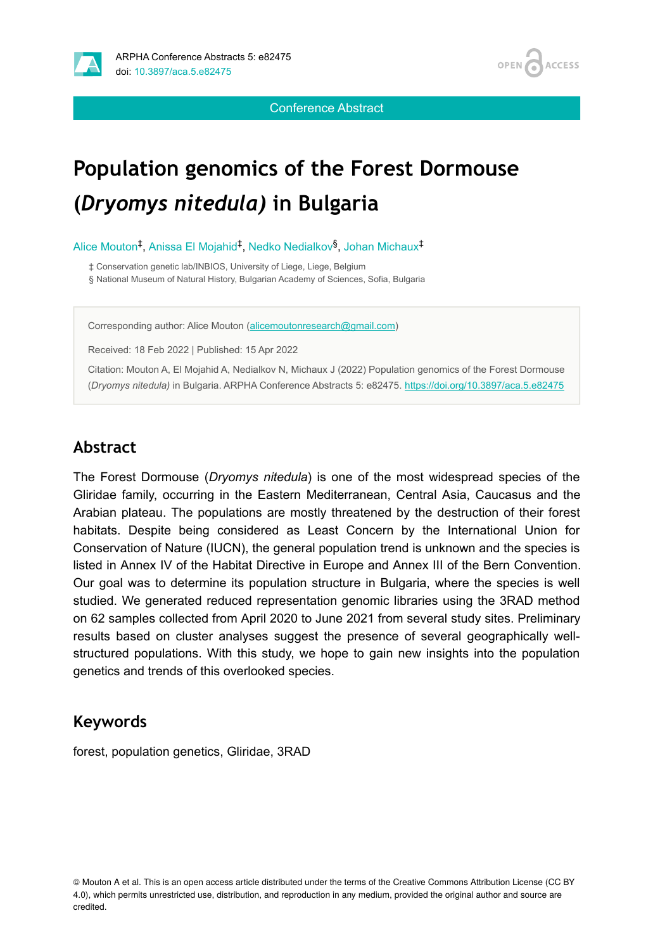



Conference Abstract

# **Population genomics of the Forest Dormouse (***Dryomys nitedula)* **in Bulgaria**

Alice Mouton<sup>‡</sup>, Anissa El Mojahid<sup>‡</sup>, Nedko Nedialkov<sup>§</sup>, Johan Michaux<sup>‡</sup>

‡ Conservation genetic lab/INBIOS, University of Liege, Liege, Belgium

§ National Museum of Natural History, Bulgarian Academy of Sciences, Sofia, Bulgaria

Corresponding author: Alice Mouton ([alicemoutonresearch@gmail.com\)](mailto:alicemoutonresearch@gmail.com)

Received: 18 Feb 2022 | Published: 15 Apr 2022

Citation: Mouton A, El Mojahid A, Nedialkov N, Michaux J (2022) Population genomics of the Forest Dormouse (*Dryomys nitedula)* in Bulgaria. ARPHA Conference Abstracts 5: e82475. <https://doi.org/10.3897/aca.5.e82475>

#### **Abstract**

The Forest Dormouse (*Dryomys nitedula*) is one of the most widespread species of the Gliridae family, occurring in the Eastern Mediterranean, Central Asia, Caucasus and the Arabian plateau. The populations are mostly threatened by the destruction of their forest habitats. Despite being considered as Least Concern by the International Union for Conservation of Nature (IUCN), the general population trend is unknown and the species is listed in Annex IV of the Habitat Directive in Europe and Annex III of the Bern Convention. Our goal was to determine its population structure in Bulgaria, where the species is well studied. We generated reduced representation genomic libraries using the 3RAD method on 62 samples collected from April 2020 to June 2021 from several study sites. Preliminary results based on cluster analyses suggest the presence of several geographically wellstructured populations. With this study, we hope to gain new insights into the population genetics and trends of this overlooked species.

#### **Keywords**

forest, population genetics, Gliridae, 3RAD